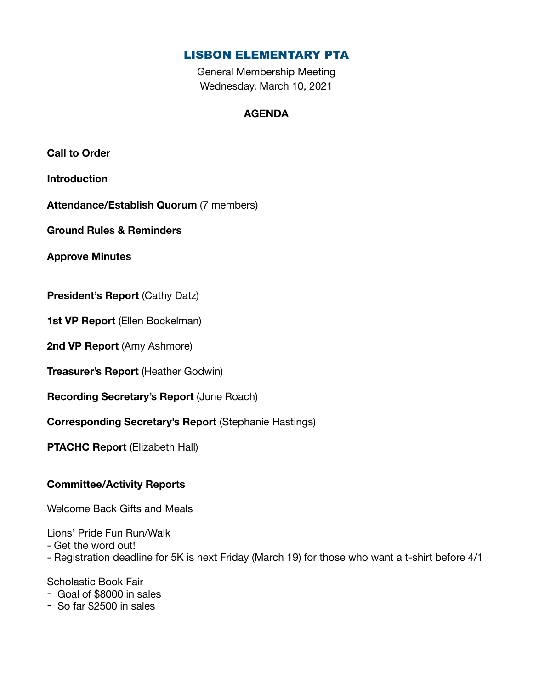# LISBON ELEMENTARY PTA

General Membership Meeting Wednesday, March 10, 2021

# **AGENDA**

**Call to Order** 

**Introduction** 

**Attendance/Establish Quorum** (7 members)

**Ground Rules & Reminders** 

**Approve Minutes** 

**President's Report** (Cathy Datz)

**1st VP Report** (Ellen Bockelman)

**2nd VP Report** (Amy Ashmore)

**Treasurer's Report** (Heather Godwin)

**Recording Secretary's Report** (June Roach)

**Corresponding Secretary's Report** (Stephanie Hastings)

**PTACHC Report** (Elizabeth Hall)

## **Committee/Activity Reports**

Welcome Back Gifts and Meals

Lions' Pride Fun Run/Walk

- Get the word out!

- Registration deadline for 5K is next Friday (March 19) for those who want a t-shirt before 4/1

### Scholastic Book Fair

- Goal of \$8000 in sales

- So far \$2500 in sales